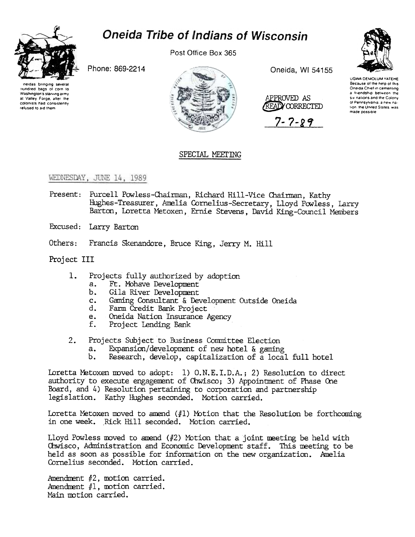

## **Oneida Tribe of Indians of Wisconsin**

Post Office Box 365

Phone: 869-2214

las bringing severa nundred bags of corn to Washington's starving army at Valley Forge, after the colonists had consistently refused to aid them



Oneida, WI 54155

APPROVED AS **READY CORRECTED** 

7-7-89



UGWA DEMOLUM YATEHE Because of the help of this<br>Oneida Chief in cementing a friendship between the six nations and the Colony of Pennsylvania, a new nation, the United States, was made possible

## SPECIAL MEETING

## WEDNESDAY, JUNE 14, 1989

- Present: Purcell Powless-Chairman, Richard Hill-Vice Chairman, Kathy Hughes-Treasurer, Amelia Cornelius-Secretary, Lloyd Powless, Larry Barton, Loretta Metoxen, Ernie Stevens, David King-Council Members
- Excused: Larry Barton
- Others: Francis Skenandore, Bruce King, Jerry M. Hill

Project III

- $1.$ Projects fully authorized by adoption
	- Ft. Mohave Development  $a.$
	- $b_{\star}$ Gila River Development
	- Gaming Consultant & Development Outside Oneida  $c_{\bullet}$
	- Farm Credit Bank Project d.
	- Oneida Nation Insurance Agency e.
	- f. Project Lending Bank
- $2.$ Projects Subject to Business Committee Election
	- Expansion/development of new hotel & gaming  $a.$
	- Research, develop, capitalization of a local full hotel Ъ.

Loretta Metoxen moved to adopt: 1) O.N.E.I.D.A.; 2) Resolution to direct authority to execute engagement of Chwisco; 3) Appointment of Phase One Board, and 4) Resolution pertaining to corporation and partnership legislation. Kathy Hughes seconded. Motion carried.

Loretta Metoxen moved to amend  $(f_1)$  Motion that the Resolution be forthcoming in one week. Rick Hill seconded. Motion carried.

Lloyd Powless moved to amend  $(42)$  Motion that a joint meeting be held with Ohwisco, Administration and Economic Development staff. This meeting to be held as soon as possible for information on the new organization. Amelia Cornelius seconded. Motion carried.

Amendment  $#2$ , motion carried. Amendment #1, motion carried. Main motion carried.